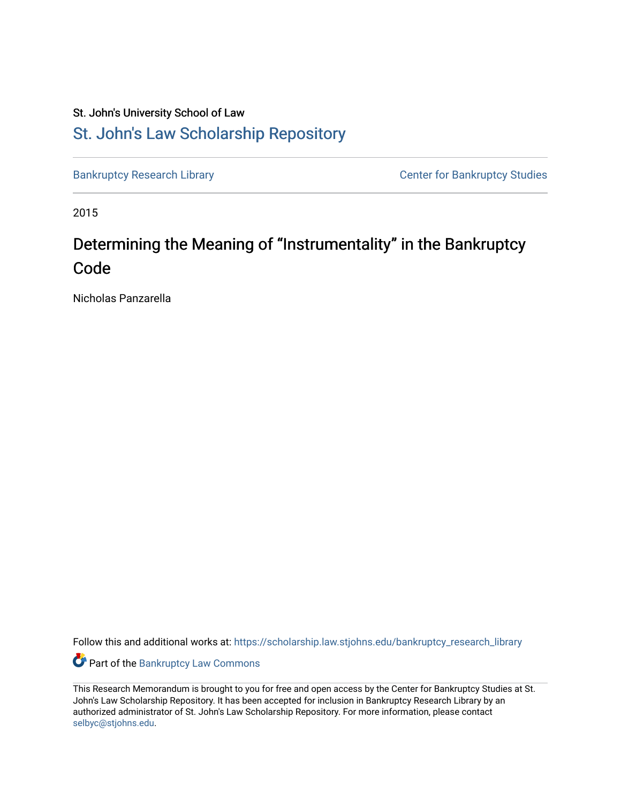## St. John's University School of Law [St. John's Law Scholarship Repository](https://scholarship.law.stjohns.edu/)

[Bankruptcy Research Library](https://scholarship.law.stjohns.edu/bankruptcy_research_library) **CENTER CENTER STANDARY CENTER CENTER STANDARY CENTER STANDARY CENTER STANDARY CENTER** 

2015

# Determining the Meaning of "Instrumentality" in the Bankruptcy Code

Nicholas Panzarella

Follow this and additional works at: [https://scholarship.law.stjohns.edu/bankruptcy\\_research\\_library](https://scholarship.law.stjohns.edu/bankruptcy_research_library?utm_source=scholarship.law.stjohns.edu%2Fbankruptcy_research_library%2F170&utm_medium=PDF&utm_campaign=PDFCoverPages) 

Part of the [Bankruptcy Law Commons](http://network.bepress.com/hgg/discipline/583?utm_source=scholarship.law.stjohns.edu%2Fbankruptcy_research_library%2F170&utm_medium=PDF&utm_campaign=PDFCoverPages) 

This Research Memorandum is brought to you for free and open access by the Center for Bankruptcy Studies at St. John's Law Scholarship Repository. It has been accepted for inclusion in Bankruptcy Research Library by an authorized administrator of St. John's Law Scholarship Repository. For more information, please contact [selbyc@stjohns.edu](mailto:selbyc@stjohns.edu).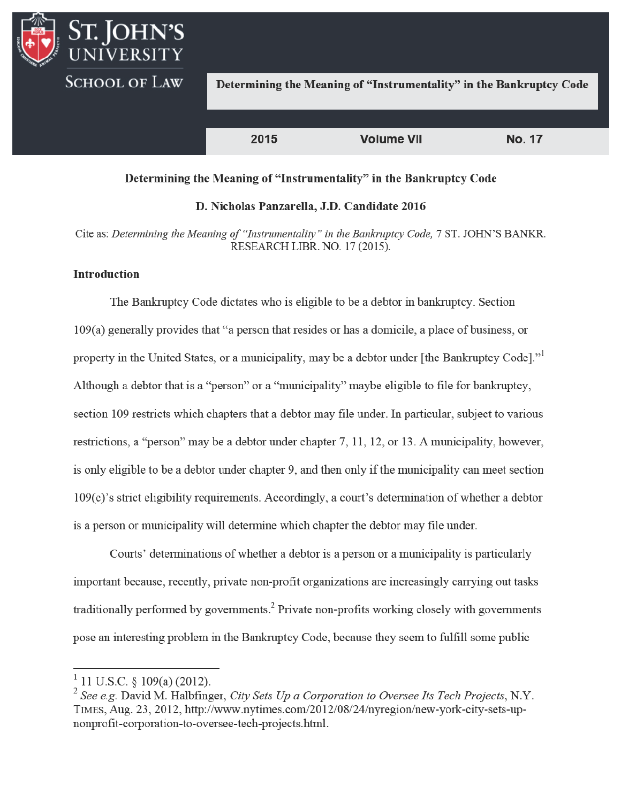

#### Determining the Meaning of "Instrumentality" in the Bankruptcy Code

#### D. Nicholas Panzarella, J.D. Candidate 2016

Cite as: Determining the Meaning of "Instrumentality" in the Bankruptcy Code, 7 ST. JOHN'S BANKR. RESEARCH LIBR. NO. 17 (2015).

## **Introduction**

The Bankruptcy Code dictates who is eligible to be a debtor in bankruptcy. Section  $109(a)$  generally provides that "a person that resides or has a domicile, a place of business, or property in the United States, or a municipality, may be a debtor under [the Bankruptcy Code]." Although a debtor that is a "person" or a "municipality" maybe eligible to file for bankruptcy, section 109 restricts which chapters that a debtor may file under. In particular, subject to various restrictions, a "person" may be a debtor under chapter 7, 11, 12, or 13. A municipality, however, is only eligible to be a debtor under chapter 9, and then only if the municipality can meet section 109(c)'s strict eligibility requirements. Accordingly, a court's determination of whether a debtor is a person or municipality will determine which chapter the debtor may file under.

Courts' determinations of whether a debtor is a person or a municipality is particularly important because, recently, private non-profit organizations are increasingly carrying out tasks traditionally performed by governments.<sup>2</sup> Private non-profits working closely with governments pose an interesting problem in the Bankruptcy Code, because they seem to fulfill some public

<sup>&</sup>lt;sup>1</sup> 11 U.S.C. § 109(a) (2012).

 $2$  See e.g. David M. Halbfinger, City Sets Up a Corporation to Oversee Its Tech Projects, N.Y. TIMES, Aug. 23, 2012, http://www.nytimes.com/2012/08/24/nyregion/new-york-city-sets-upnonprofit-corporation-to-oversee-tech-projects.html.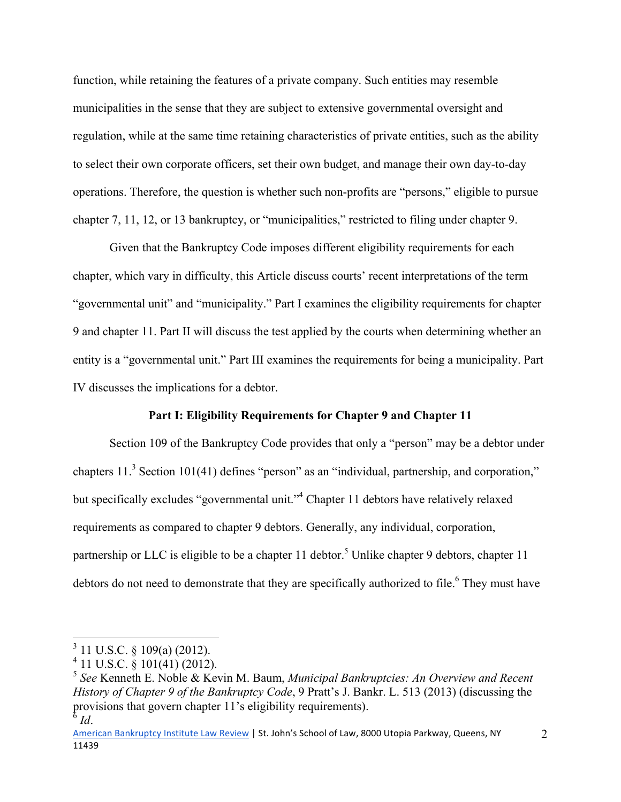function, while retaining the features of a private company. Such entities may resemble municipalities in the sense that they are subject to extensive governmental oversight and regulation, while at the same time retaining characteristics of private entities, such as the ability to select their own corporate officers, set their own budget, and manage their own day-to-day operations. Therefore, the question is whether such non-profits are "persons," eligible to pursue chapter 7, 11, 12, or 13 bankruptcy, or "municipalities," restricted to filing under chapter 9.

 Given that the Bankruptcy Code imposes different eligibility requirements for each chapter, which vary in difficulty, this Article discuss courts' recent interpretations of the term "governmental unit" and "municipality." Part I examines the eligibility requirements for chapter 9 and chapter 11. Part II will discuss the test applied by the courts when determining whether an entity is a "governmental unit." Part III examines the requirements for being a municipality. Part IV discusses the implications for a debtor.

## **Part I: Eligibility Requirements for Chapter 9 and Chapter 11**

 Section 109 of the Bankruptcy Code provides that only a "person" may be a debtor under chapters  $11<sup>3</sup>$  Section 101(41) defines "person" as an "individual, partnership, and corporation," but specifically excludes "governmental unit."<sup>4</sup> Chapter 11 debtors have relatively relaxed requirements as compared to chapter 9 debtors. Generally, any individual, corporation, partnership or LLC is eligible to be a chapter 11 debtor.<sup>5</sup> Unlike chapter 9 debtors, chapter 11 debtors do not need to demonstrate that they are specifically authorized to file.<sup>6</sup> They must have

 3 11 U.S.C. § 109(a) (2012).

 $4$  11 U.S.C.  $\frac{8}{9}$  101(41) (2012).

<sup>5</sup> *See* Kenneth E. Noble & Kevin M. Baum, *Municipal Bankruptcies: An Overview and Recent History of Chapter 9 of the Bankruptcy Code*, 9 Pratt's J. Bankr. L. 513 (2013) (discussing the provisions that govern chapter 11's eligibility requirements).  $^{\overline{6}}$  *Id*.

American Bankruptcy Institute Law Review | St. John's School of Law, 8000 Utopia Parkway, Queens, NY 11439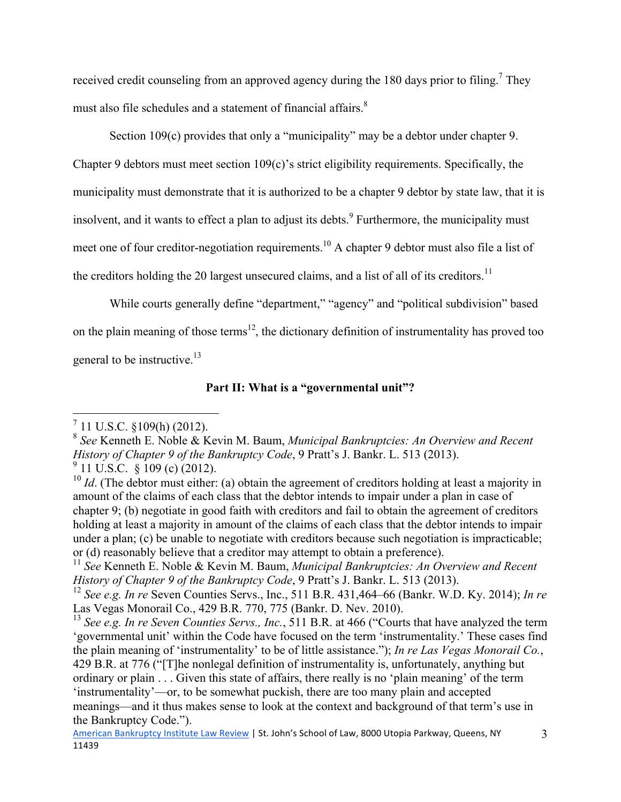received credit counseling from an approved agency during the 180 days prior to filing.<sup>7</sup> They must also file schedules and a statement of financial affairs.<sup>8</sup>

Section 109(c) provides that only a "municipality" may be a debtor under chapter 9. Chapter 9 debtors must meet section 109(c)'s strict eligibility requirements. Specifically, the municipality must demonstrate that it is authorized to be a chapter 9 debtor by state law, that it is insolvent, and it wants to effect a plan to adjust its debts.<sup>9</sup> Furthermore, the municipality must meet one of four creditor-negotiation requirements.<sup>10</sup> A chapter 9 debtor must also file a list of the creditors holding the 20 largest unsecured claims, and a list of all of its creditors.<sup>11</sup>

 While courts generally define "department," "agency" and "political subdivision" based on the plain meaning of those terms<sup>12</sup>, the dictionary definition of instrumentality has proved too general to be instructive.<sup>13</sup>

## **Part II: What is a "governmental unit"?**

 $\frac{7}{11}$  U.S.C. §109(h) (2012).

<sup>8</sup> *See* Kenneth E. Noble & Kevin M. Baum, *Municipal Bankruptcies: An Overview and Recent History of Chapter 9 of the Bankruptcy Code*, 9 Pratt's J. Bankr. L. 513 (2013).  $9$  11 U.S.C. § 109 (c) (2012).

<sup>&</sup>lt;sup>10</sup> *Id*. (The debtor must either: (a) obtain the agreement of creditors holding at least a majority in amount of the claims of each class that the debtor intends to impair under a plan in case of chapter 9; (b) negotiate in good faith with creditors and fail to obtain the agreement of creditors holding at least a majority in amount of the claims of each class that the debtor intends to impair under a plan; (c) be unable to negotiate with creditors because such negotiation is impracticable; or (d) reasonably believe that a creditor may attempt to obtain a preference).

<sup>11</sup> *See* Kenneth E. Noble & Kevin M. Baum, *Municipal Bankruptcies: An Overview and Recent History of Chapter 9 of the Bankruptcy Code*, 9 Pratt's J. Bankr. L. 513 (2013).

<sup>12</sup> *See e.g. In re* Seven Counties Servs., Inc., 511 B.R. 431,464–66 (Bankr. W.D. Ky. 2014); *In re* Las Vegas Monorail Co., 429 B.R. 770, 775 (Bankr. D. Nev. 2010).

<sup>13</sup> *See e.g. In re Seven Counties Servs., Inc.*, 511 B.R. at 466 ("Courts that have analyzed the term 'governmental unit' within the Code have focused on the term 'instrumentality.' These cases find the plain meaning of 'instrumentality' to be of little assistance."); *In re Las Vegas Monorail Co.*, 429 B.R. at 776 ("[T]he nonlegal definition of instrumentality is, unfortunately, anything but ordinary or plain . . . Given this state of affairs, there really is no 'plain meaning' of the term 'instrumentality'—or, to be somewhat puckish, there are too many plain and accepted meanings—and it thus makes sense to look at the context and background of that term's use in the Bankruptcy Code.").

American Bankruptcy Institute Law Review | St. John's School of Law, 8000 Utopia Parkway, Queens, NY 11439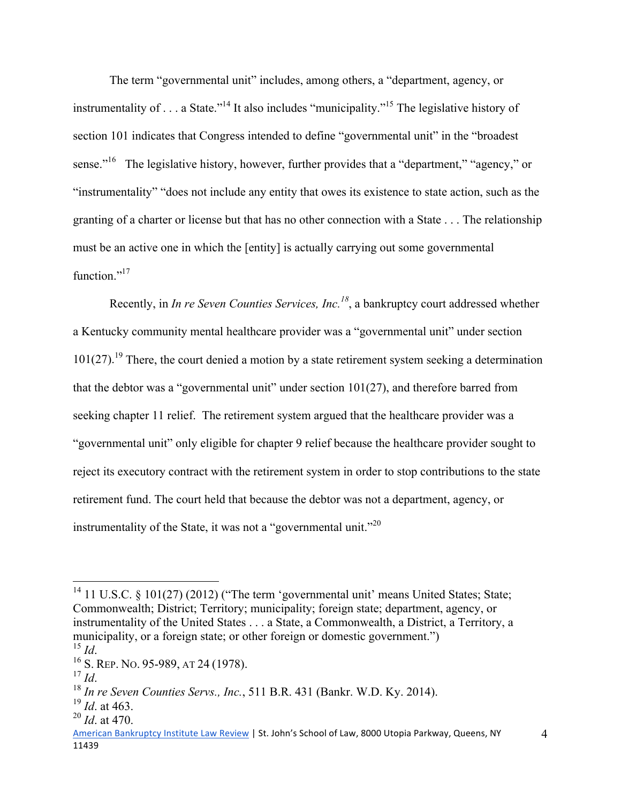The term "governmental unit" includes, among others, a "department, agency, or instrumentality of  $\ldots$  a State."<sup>14</sup> It also includes "municipality."<sup>15</sup> The legislative history of section 101 indicates that Congress intended to define "governmental unit" in the "broadest sense."<sup>16</sup> The legislative history, however, further provides that a "department," "agency," or "instrumentality" "does not include any entity that owes its existence to state action, such as the granting of a charter or license but that has no other connection with a State . . . The relationship must be an active one in which the [entity] is actually carrying out some governmental function $^{17}$ 

Recently, in *In re Seven Counties Services, Inc.<sup>18</sup>*, a bankruptcy court addressed whether a Kentucky community mental healthcare provider was a "governmental unit" under section  $101(27)$ .<sup>19</sup> There, the court denied a motion by a state retirement system seeking a determination that the debtor was a "governmental unit" under section 101(27), and therefore barred from seeking chapter 11 relief. The retirement system argued that the healthcare provider was a "governmental unit" only eligible for chapter 9 relief because the healthcare provider sought to reject its executory contract with the retirement system in order to stop contributions to the state retirement fund. The court held that because the debtor was not a department, agency, or instrumentality of the State, it was not a "governmental unit."<sup>20</sup>

 $\overline{a}$ 

<sup>&</sup>lt;sup>14</sup> 11 U.S.C. § 101(27) (2012) ("The term 'governmental unit' means United States; State; Commonwealth; District; Territory; municipality; foreign state; department, agency, or instrumentality of the United States . . . a State, a Commonwealth, a District, a Territory, a municipality, or a foreign state; or other foreign or domestic government.")  $\frac{15}{1d}$ 

<sup>&</sup>lt;sup>16</sup> S. REP. No. 95-989, AT 24 (1978).

<sup>17</sup> *Id*. 18 *In re Seven Counties Servs., Inc.*, 511 B.R. 431 (Bankr. W.D. Ky. 2014).

<sup>19</sup> *Id*. at 463.

<sup>20</sup> *Id*. at 470.

American Bankruptcy Institute Law Review | St. John's School of Law, 8000 Utopia Parkway, Queens, NY 11439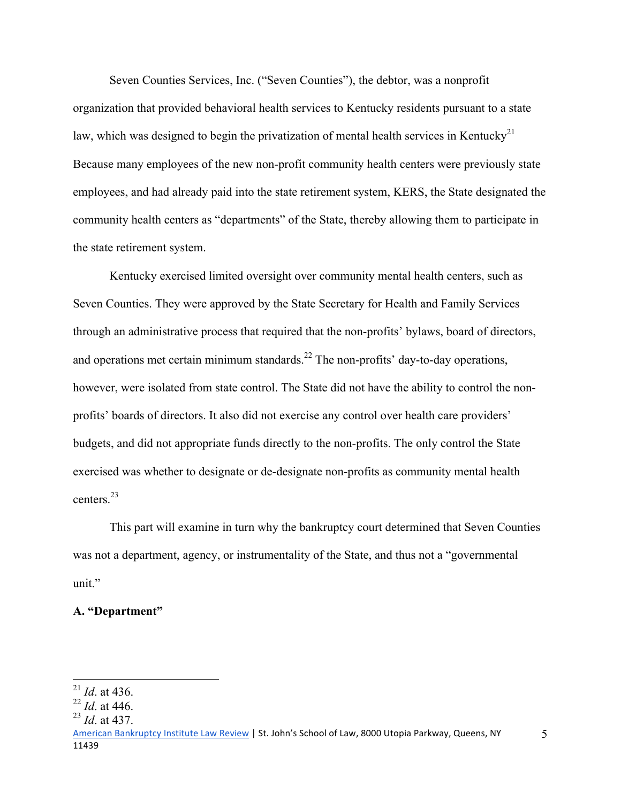Seven Counties Services, Inc. ("Seven Counties"), the debtor, was a nonprofit organization that provided behavioral health services to Kentucky residents pursuant to a state law, which was designed to begin the privatization of mental health services in Kentucky<sup>21</sup> Because many employees of the new non-profit community health centers were previously state employees, and had already paid into the state retirement system, KERS, the State designated the community health centers as "departments" of the State, thereby allowing them to participate in the state retirement system.

Kentucky exercised limited oversight over community mental health centers, such as Seven Counties. They were approved by the State Secretary for Health and Family Services through an administrative process that required that the non-profits' bylaws, board of directors, and operations met certain minimum standards.<sup>22</sup> The non-profits' day-to-day operations, however, were isolated from state control. The State did not have the ability to control the nonprofits' boards of directors. It also did not exercise any control over health care providers' budgets, and did not appropriate funds directly to the non-profits. The only control the State exercised was whether to designate or de-designate non-profits as community mental health centers.23

This part will examine in turn why the bankruptcy court determined that Seven Counties was not a department, agency, or instrumentality of the State, and thus not a "governmental unit."

#### **A. "Department"**

 $\overline{a}$ 

 $^{21}$  *Id.* at 436.

<sup>22</sup> *Id*. at 446.

<sup>23</sup> *Id*. at 437.

American Bankruptcy Institute Law Review | St. John's School of Law, 8000 Utopia Parkway, Queens, NY 11439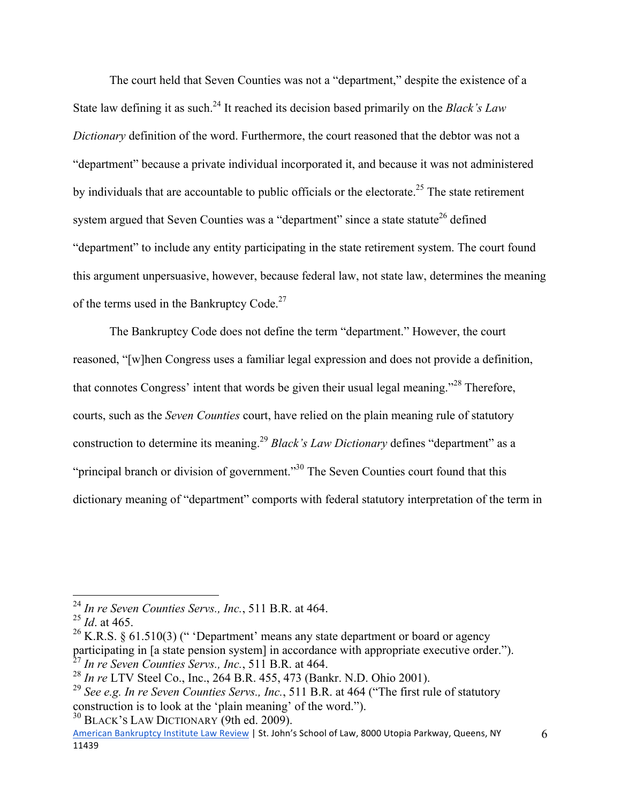The court held that Seven Counties was not a "department," despite the existence of a State law defining it as such.<sup>24</sup> It reached its decision based primarily on the *Black's Law Dictionary* definition of the word. Furthermore, the court reasoned that the debtor was not a "department" because a private individual incorporated it, and because it was not administered by individuals that are accountable to public officials or the electorate.<sup>25</sup> The state retirement system argued that Seven Counties was a "department" since a state statute<sup>26</sup> defined "department" to include any entity participating in the state retirement system. The court found this argument unpersuasive, however, because federal law, not state law, determines the meaning of the terms used in the Bankruptcy Code.<sup>27</sup>

The Bankruptcy Code does not define the term "department." However, the court reasoned, "[w]hen Congress uses a familiar legal expression and does not provide a definition, that connotes Congress' intent that words be given their usual legal meaning."28 Therefore, courts, such as the *Seven Counties* court, have relied on the plain meaning rule of statutory construction to determine its meaning.<sup>29</sup> *Black's Law Dictionary* defines "department" as a "principal branch or division of government."<sup>30</sup> The Seven Counties court found that this dictionary meaning of "department" comports with federal statutory interpretation of the term in

 $\overline{a}$ 

 $30$  BLACK's LAW DICTIONARY (9th ed. 2009).

<sup>24</sup> *In re Seven Counties Servs., Inc.*, 511 B.R. at 464.

<sup>25</sup> *Id*. at 465.

<sup>&</sup>lt;sup>26</sup> K.R.S. § 61.510(3) (" 'Department' means any state department or board or agency participating in [a state pension system] in accordance with appropriate executive order."). <sup>27</sup> *In re Seven Counties Servs., Inc.*, 511 B.R. at 464.

<sup>28</sup> *In re* LTV Steel Co., Inc., 264 B.R. 455, 473 (Bankr. N.D. Ohio 2001).

<sup>29</sup> *See e.g. In re Seven Counties Servs., Inc.*, 511 B.R. at 464 ("The first rule of statutory construction is to look at the 'plain meaning' of the word.").

American Bankruptcy Institute Law Review | St. John's School of Law, 8000 Utopia Parkway, Queens, NY 11439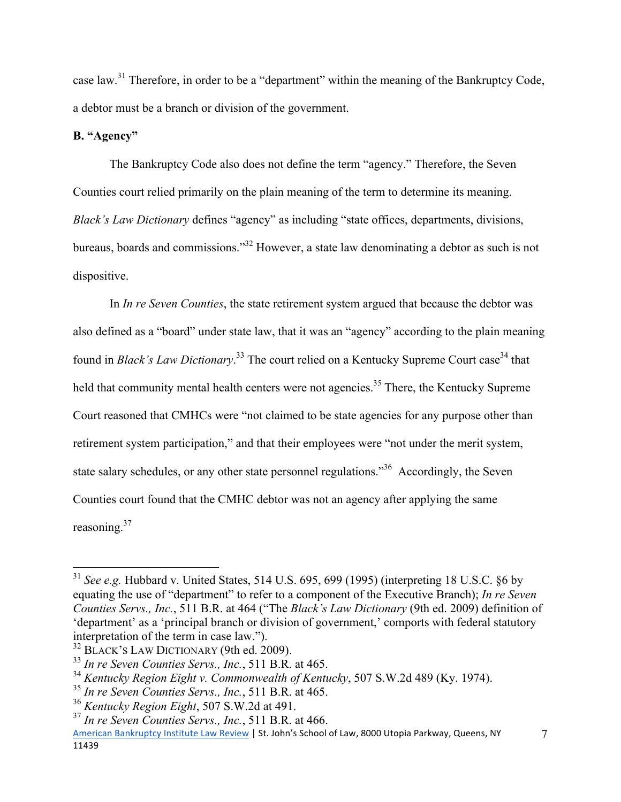case law.31 Therefore, in order to be a "department" within the meaning of the Bankruptcy Code, a debtor must be a branch or division of the government.

## **B. "Agency"**

 $\overline{a}$ 

 The Bankruptcy Code also does not define the term "agency." Therefore, the Seven Counties court relied primarily on the plain meaning of the term to determine its meaning. *Black's Law Dictionary* defines "agency" as including "state offices, departments, divisions, bureaus, boards and commissions."32 However, a state law denominating a debtor as such is not dispositive.

 In *In re Seven Counties*, the state retirement system argued that because the debtor was also defined as a "board" under state law, that it was an "agency" according to the plain meaning found in *Black's Law Dictionary*.<sup>33</sup> The court relied on a Kentucky Supreme Court case<sup>34</sup> that held that community mental health centers were not agencies.<sup>35</sup> There, the Kentucky Supreme Court reasoned that CMHCs were "not claimed to be state agencies for any purpose other than retirement system participation," and that their employees were "not under the merit system, state salary schedules, or any other state personnel regulations."<sup>36</sup> Accordingly, the Seven Counties court found that the CMHC debtor was not an agency after applying the same reasoning.<sup>37</sup>

<sup>31</sup> *See e.g.* Hubbard v. United States, 514 U.S. 695, 699 (1995) (interpreting 18 U.S.C. §6 by equating the use of "department" to refer to a component of the Executive Branch); *In re Seven Counties Servs., Inc.*, 511 B.R. at 464 ("The *Black's Law Dictionary* (9th ed. 2009) definition of 'department' as a 'principal branch or division of government,' comports with federal statutory interpretation of the term in case law.").

<sup>&</sup>lt;sup>32</sup> BLACK'S LAW DICTIONARY (9th ed. 2009).

<sup>33</sup> *In re Seven Counties Servs., Inc.*, 511 B.R. at 465.

<sup>34</sup> *Kentucky Region Eight v. Commonwealth of Kentucky*, 507 S.W.2d 489 (Ky. 1974).

<sup>35</sup> *In re Seven Counties Servs., Inc.*, 511 B.R. at 465.

<sup>36</sup> *Kentucky Region Eight*, 507 S.W.2d at 491.

<sup>37</sup> *In re Seven Counties Servs., Inc.*, 511 B.R. at 466.

American Bankruptcy Institute Law Review | St. John's School of Law, 8000 Utopia Parkway, Queens, NY 11439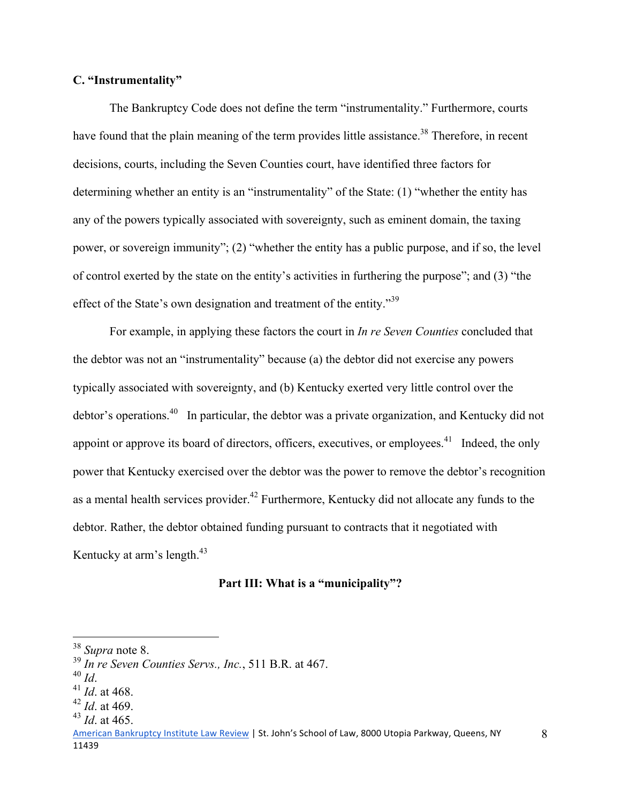## **C. "Instrumentality"**

 The Bankruptcy Code does not define the term "instrumentality." Furthermore, courts have found that the plain meaning of the term provides little assistance.<sup>38</sup> Therefore, in recent decisions, courts, including the Seven Counties court, have identified three factors for determining whether an entity is an "instrumentality" of the State: (1) "whether the entity has any of the powers typically associated with sovereignty, such as eminent domain, the taxing power, or sovereign immunity"; (2) "whether the entity has a public purpose, and if so, the level of control exerted by the state on the entity's activities in furthering the purpose"; and (3) "the effect of the State's own designation and treatment of the entity."<sup>39</sup>

 For example, in applying these factors the court in *In re Seven Counties* concluded that the debtor was not an "instrumentality" because (a) the debtor did not exercise any powers typically associated with sovereignty, and (b) Kentucky exerted very little control over the debtor's operations.40 In particular, the debtor was a private organization, and Kentucky did not appoint or approve its board of directors, officers, executives, or employees.<sup>41</sup> Indeed, the only power that Kentucky exercised over the debtor was the power to remove the debtor's recognition as a mental health services provider.<sup>42</sup> Furthermore, Kentucky did not allocate any funds to the debtor. Rather, the debtor obtained funding pursuant to contracts that it negotiated with Kentucky at arm's length. $43$ 

## **Part III: What is a "municipality"?**

<u>.</u>

<sup>38</sup> *Supra* note 8.

<sup>39</sup> *In re Seven Counties Servs., Inc.*, 511 B.R. at 467.

<sup>40</sup> *Id*. 41 *Id*. at 468.

<sup>42</sup> *Id*. at 469.

<sup>43</sup> *Id*. at 465.

American Bankruptcy Institute Law Review | St. John's School of Law, 8000 Utopia Parkway, Queens, NY 11439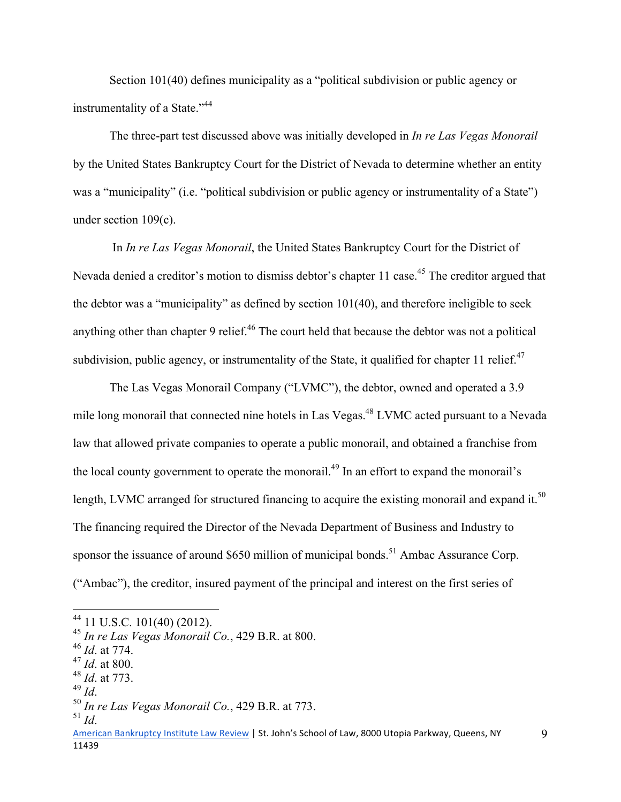Section 101(40) defines municipality as a "political subdivision or public agency or instrumentality of a State."<sup>44</sup>

 The three-part test discussed above was initially developed in *In re Las Vegas Monorail* by the United States Bankruptcy Court for the District of Nevada to determine whether an entity was a "municipality" (i.e. "political subdivision or public agency or instrumentality of a State") under section 109(c).

 In *In re Las Vegas Monorail*, the United States Bankruptcy Court for the District of Nevada denied a creditor's motion to dismiss debtor's chapter 11 case.<sup>45</sup> The creditor argued that the debtor was a "municipality" as defined by section 101(40), and therefore ineligible to seek anything other than chapter 9 relief.<sup>46</sup> The court held that because the debtor was not a political subdivision, public agency, or instrumentality of the State, it qualified for chapter 11 relief. $47$ 

 The Las Vegas Monorail Company ("LVMC"), the debtor, owned and operated a 3.9 mile long monorail that connected nine hotels in Las Vegas.<sup>48</sup> LVMC acted pursuant to a Nevada law that allowed private companies to operate a public monorail, and obtained a franchise from the local county government to operate the monorail.<sup>49</sup> In an effort to expand the monorail's length, LVMC arranged for structured financing to acquire the existing monorail and expand it.<sup>50</sup> The financing required the Director of the Nevada Department of Business and Industry to sponsor the issuance of around \$650 million of municipal bonds.<sup>51</sup> Ambac Assurance Corp. ("Ambac"), the creditor, insured payment of the principal and interest on the first series of

<u>.</u>

 $44$  11 U.S.C. 101(40) (2012).

<sup>45</sup> *In re Las Vegas Monorail Co.*, 429 B.R. at 800.

<sup>46</sup> *Id*. at 774.

<sup>47</sup> *Id*. at 800.

 $^{48}$  *Id.* at 773.<br><sup>49</sup> *Id* 

<sup>49</sup> *Id*. 50 *In re Las Vegas Monorail Co.*, 429 B.R. at 773.

 $^{51}$  *Id*.

American Bankruptcy Institute Law Review | St. John's School of Law, 8000 Utopia Parkway, Queens, NY 11439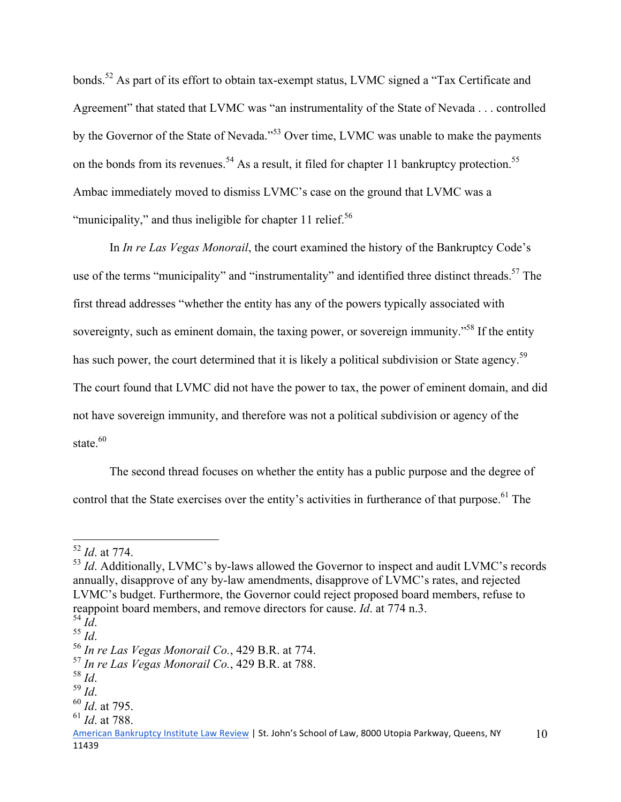bonds.<sup>52</sup> As part of its effort to obtain tax-exempt status, LVMC signed a "Tax Certificate and Agreement" that stated that LVMC was "an instrumentality of the State of Nevada . . . controlled by the Governor of the State of Nevada."<sup>53</sup> Over time, LVMC was unable to make the payments on the bonds from its revenues.<sup>54</sup> As a result, it filed for chapter 11 bankruptcy protection.<sup>55</sup> Ambac immediately moved to dismiss LVMC's case on the ground that LVMC was a "municipality," and thus ineligible for chapter 11 relief. $56$ 

 In *In re Las Vegas Monorail*, the court examined the history of the Bankruptcy Code's use of the terms "municipality" and "instrumentality" and identified three distinct threads.<sup>57</sup> The first thread addresses "whether the entity has any of the powers typically associated with sovereignty, such as eminent domain, the taxing power, or sovereign immunity."<sup>58</sup> If the entity has such power, the court determined that it is likely a political subdivision or State agency.<sup>59</sup> The court found that LVMC did not have the power to tax, the power of eminent domain, and did not have sovereign immunity, and therefore was not a political subdivision or agency of the state $60$ 

The second thread focuses on whether the entity has a public purpose and the degree of control that the State exercises over the entity's activities in furtherance of that purpose.<sup>61</sup> The

1

<sup>52</sup> *Id*. at 774.

<sup>&</sup>lt;sup>53</sup> *Id.* Additionally, LVMC's by-laws allowed the Governor to inspect and audit LVMC's records annually, disapprove of any by-law amendments, disapprove of LVMC's rates, and rejected LVMC's budget. Furthermore, the Governor could reject proposed board members, refuse to reappoint board members, and remove directors for cause. *Id*. at 774 n.3.<br><sup>54</sup> *Id*.

<sup>54</sup> *Id*. 55 *Id*. 56 *In re Las Vegas Monorail Co.*, 429 B.R. at 774.

<sup>57</sup> *In re Las Vegas Monorail Co.*, 429 B.R. at 788.

<sup>58</sup> *Id*. 59 *Id*. 60 *Id*. at 795.

<sup>61</sup> *Id*. at 788.

American Bankruptcy Institute Law Review | St. John's School of Law, 8000 Utopia Parkway, Queens, NY 11439 10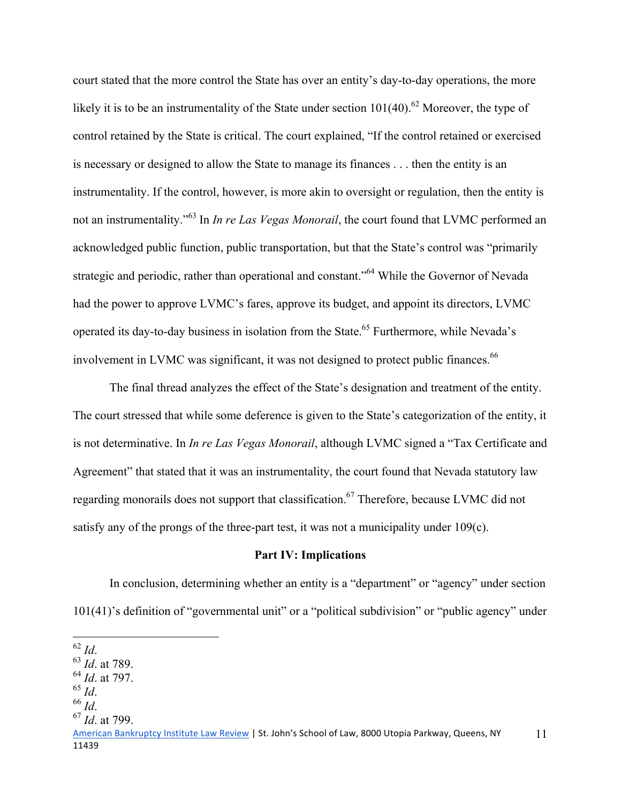court stated that the more control the State has over an entity's day-to-day operations, the more likely it is to be an instrumentality of the State under section  $101(40)$ .<sup>62</sup> Moreover, the type of control retained by the State is critical. The court explained, "If the control retained or exercised is necessary or designed to allow the State to manage its finances . . . then the entity is an instrumentality. If the control, however, is more akin to oversight or regulation, then the entity is not an instrumentality."63 In *In re Las Vegas Monorail*, the court found that LVMC performed an acknowledged public function, public transportation, but that the State's control was "primarily strategic and periodic, rather than operational and constant."<sup>64</sup> While the Governor of Nevada had the power to approve LVMC's fares, approve its budget, and appoint its directors, LVMC operated its day-to-day business in isolation from the State.<sup>65</sup> Furthermore, while Nevada's involvement in LVMC was significant, it was not designed to protect public finances.<sup>66</sup>

The final thread analyzes the effect of the State's designation and treatment of the entity. The court stressed that while some deference is given to the State's categorization of the entity, it is not determinative. In *In re Las Vegas Monorail*, although LVMC signed a "Tax Certificate and Agreement" that stated that it was an instrumentality, the court found that Nevada statutory law regarding monorails does not support that classification.<sup>67</sup> Therefore, because LVMC did not satisfy any of the prongs of the three-part test, it was not a municipality under 109(c).

#### **Part IV: Implications**

 In conclusion, determining whether an entity is a "department" or "agency" under section 101(41)'s definition of "governmental unit" or a "political subdivision" or "public agency" under

 $^{62}$  *Id.* 

<sup>62</sup> *Id*. 63 *Id*. at 789.

<sup>64</sup> *Id*. at 797.

<sup>65</sup> *Id*. 66 *Id*. 67 *Id*. at 799.

American Bankruptcy Institute Law Review | St. John's School of Law, 8000 Utopia Parkway, Queens, NY 11439 11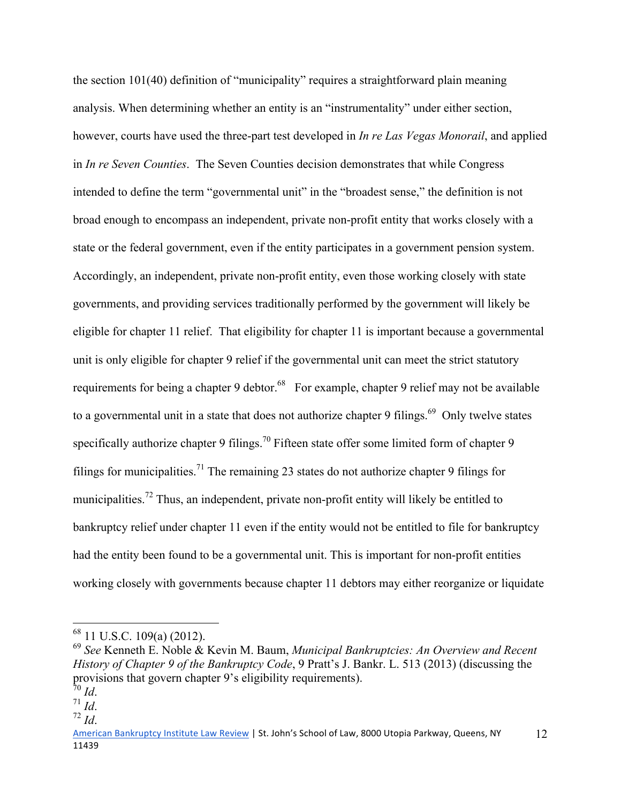the section 101(40) definition of "municipality" requires a straightforward plain meaning analysis. When determining whether an entity is an "instrumentality" under either section, however, courts have used the three-part test developed in *In re Las Vegas Monorail*, and applied in *In re Seven Counties*. The Seven Counties decision demonstrates that while Congress intended to define the term "governmental unit" in the "broadest sense," the definition is not broad enough to encompass an independent, private non-profit entity that works closely with a state or the federal government, even if the entity participates in a government pension system. Accordingly, an independent, private non-profit entity, even those working closely with state governments, and providing services traditionally performed by the government will likely be eligible for chapter 11 relief. That eligibility for chapter 11 is important because a governmental unit is only eligible for chapter 9 relief if the governmental unit can meet the strict statutory requirements for being a chapter 9 debtor.<sup>68</sup> For example, chapter 9 relief may not be available to a governmental unit in a state that does not authorize chapter 9 filings.<sup>69</sup> Only twelve states specifically authorize chapter 9 filings.<sup>70</sup> Fifteen state offer some limited form of chapter 9 filings for municipalities.<sup>71</sup> The remaining 23 states do not authorize chapter 9 filings for municipalities.<sup>72</sup> Thus, an independent, private non-profit entity will likely be entitled to bankruptcy relief under chapter 11 even if the entity would not be entitled to file for bankruptcy had the entity been found to be a governmental unit. This is important for non-profit entities working closely with governments because chapter 11 debtors may either reorganize or liquidate

 $\overline{a}$ 

 $68$  11 U.S.C. 109(a) (2012).

<sup>69</sup> *See* Kenneth E. Noble & Kevin M. Baum, *Municipal Bankruptcies: An Overview and Recent History of Chapter 9 of the Bankruptcy Code*, 9 Pratt's J. Bankr. L. 513 (2013) (discussing the provisions that govern chapter 9's eligibility requirements).

<sup>70</sup> *Id*. 71 *Id*. 72 *Id*.

American Bankruptcy Institute Law Review | St. John's School of Law, 8000 Utopia Parkway, Queens, NY 11439 12